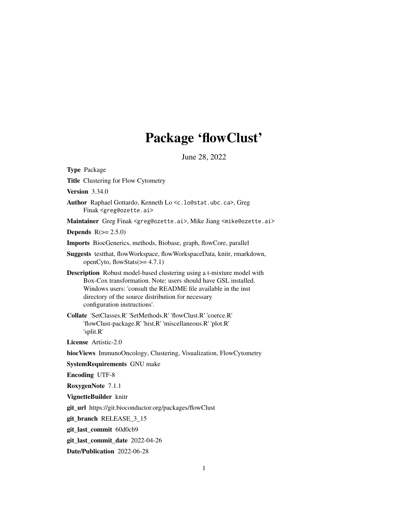# Package 'flowClust'

June 28, 2022

<span id="page-0-0"></span>

| <b>Type Package</b>                                                                                                                                                                                                                                                                                    |
|--------------------------------------------------------------------------------------------------------------------------------------------------------------------------------------------------------------------------------------------------------------------------------------------------------|
| <b>Title Clustering for Flow Cytometry</b>                                                                                                                                                                                                                                                             |
| <b>Version 3.34.0</b>                                                                                                                                                                                                                                                                                  |
| Author Raphael Gottardo, Kenneth Lo <c. lo@stat.ubc.ca="">, Greg<br/>Finak <greg@ozette.ai></greg@ozette.ai></c.>                                                                                                                                                                                      |
| Maintainer Greg Finak <greg@ozette.ai>, Mike Jiang <mike@ozette.ai></mike@ozette.ai></greg@ozette.ai>                                                                                                                                                                                                  |
| <b>Depends</b> $R(>= 2.5.0)$                                                                                                                                                                                                                                                                           |
| Imports BiocGenerics, methods, Biobase, graph, flowCore, parallel                                                                                                                                                                                                                                      |
| Suggests testthat, flowWorkspace, flowWorkspaceData, knitr, rmarkdown,<br>openCyto, flowStats $(>= 4.7.1)$                                                                                                                                                                                             |
| <b>Description</b> Robust model-based clustering using a t-mixture model with<br>Box-Cox transformation. Note: users should have GSL installed.<br>Windows users: 'consult the README file available in the inst<br>directory of the source distribution for necessary<br>configuration instructions'. |
| Collate 'SetClasses.R' 'SetMethods.R' 'flowClust.R' 'coerce.R'<br>'flowClust-package.R' 'hist.R' 'miscellaneous.R' 'plot.R'<br>'split.R'                                                                                                                                                               |
| <b>License</b> Artistic-2.0                                                                                                                                                                                                                                                                            |
| biocViews ImmunoOncology, Clustering, Visualization, FlowCytometry                                                                                                                                                                                                                                     |
| <b>SystemRequirements GNU make</b>                                                                                                                                                                                                                                                                     |
| <b>Encoding UTF-8</b>                                                                                                                                                                                                                                                                                  |
| RoxygenNote 7.1.1                                                                                                                                                                                                                                                                                      |
| VignetteBuilder knitr                                                                                                                                                                                                                                                                                  |
| git_url https://git.bioconductor.org/packages/flowClust                                                                                                                                                                                                                                                |
| git_branch RELEASE_3_15                                                                                                                                                                                                                                                                                |
| git_last_commit 60d0cb9                                                                                                                                                                                                                                                                                |
| git_last_commit_date 2022-04-26                                                                                                                                                                                                                                                                        |
| Date/Publication 2022-06-28                                                                                                                                                                                                                                                                            |

1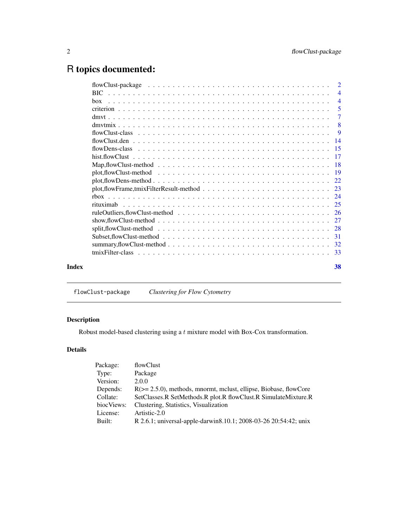## <span id="page-1-0"></span>R topics documented:

|       |                                                                                                                         | $\overline{4}$ |
|-------|-------------------------------------------------------------------------------------------------------------------------|----------------|
|       |                                                                                                                         | $\overline{4}$ |
|       |                                                                                                                         | - 5            |
|       |                                                                                                                         | -7             |
|       |                                                                                                                         | -8             |
|       |                                                                                                                         | $\overline{9}$ |
|       |                                                                                                                         |                |
|       |                                                                                                                         |                |
|       |                                                                                                                         |                |
|       |                                                                                                                         |                |
|       |                                                                                                                         |                |
|       |                                                                                                                         |                |
|       |                                                                                                                         |                |
|       |                                                                                                                         |                |
|       |                                                                                                                         |                |
|       |                                                                                                                         |                |
|       | show, flow Clust-method $\ldots \ldots \ldots \ldots \ldots \ldots \ldots \ldots \ldots \ldots \ldots \ldots \ldots 27$ |                |
|       |                                                                                                                         |                |
|       |                                                                                                                         |                |
|       |                                                                                                                         |                |
|       |                                                                                                                         |                |
| Index |                                                                                                                         | 38             |
|       |                                                                                                                         |                |

flowClust-package *Clustering for Flow Cytometry*

### Description

Robust model-based clustering using a  $t$  mixture model with Box-Cox transformation.

### Details

| Package:   | flowClust                                                             |
|------------|-----------------------------------------------------------------------|
| Type:      | Package                                                               |
| Version:   | 2.0.0                                                                 |
| Depends:   | $R(\geq 2.5.0)$ , methods, mnormt, mclust, ellipse, Biobase, flowCore |
| Collate:   | SetClasses.R SetMethods.R plot.R flowClust.R SimulateMixture.R        |
| biocViews: | Clustering, Statistics, Visualization                                 |
| License:   | Artistic-2.0                                                          |
| Built:     | R 2.6.1; universal-apple-darwin8.10.1; 2008-03-26 20:54:42; unix      |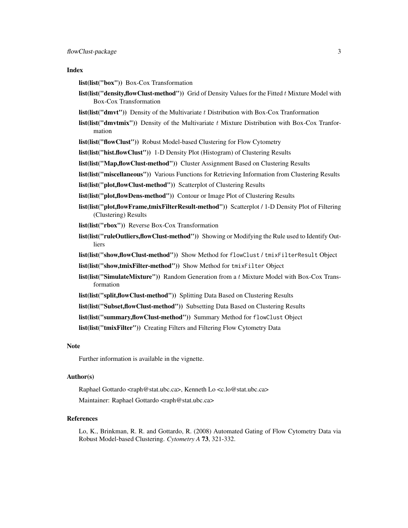#### Index

- list(list("box")) Box-Cox Transformation
- **list(list("density,flowClust-method"))** Grid of Density Values for the Fitted  $t$  Mixture Model with Box-Cox Transformation
- **list(list("dmvt"))** Density of the Multivariate  $t$  Distribution with Box-Cox Tranformation
- **list(list("dmvtmix"))** Density of the Multivariate  $t$  Mixture Distribution with Box-Cox Tranformation
- list(list("flowClust")) Robust Model-based Clustering for Flow Cytometry
- list(list("hist.flowClust")) 1-D Density Plot (Histogram) of Clustering Results
- list(list("Map,flowClust-method")) Cluster Assignment Based on Clustering Results
- list(list("miscellaneous")) Various Functions for Retrieving Information from Clustering Results
- list(list("plot,flowClust-method")) Scatterplot of Clustering Results
- list(list("plot,flowDens-method")) Contour or Image Plot of Clustering Results
- list(list("plot,flowFrame,tmixFilterResult-method")) Scatterplot / 1-D Density Plot of Filtering (Clustering) Results
- list(list("rbox")) Reverse Box-Cox Transformation
- list(list("ruleOutliers,flowClust-method")) Showing or Modifying the Rule used to Identify Outliers
- list(list("show,flowClust-method")) Show Method for flowClust / tmixFilterResult Object
- list(list("show,tmixFilter-method")) Show Method for tmixFilter Object
- list(list("SimulateMixture")) Random Generation from a t Mixture Model with Box-Cox Transformation
- list(list("split,flowClust-method")) Splitting Data Based on Clustering Results
- list(list("Subset,flowClust-method")) Subsetting Data Based on Clustering Results
- list(list("summary,flowClust-method")) Summary Method for flowClust Object

list(list("tmixFilter")) Creating Filters and Filtering Flow Cytometry Data

#### Note

Further information is available in the vignette.

#### Author(s)

Raphael Gottardo <raph@stat.ubc.ca>, Kenneth Lo <c.lo@stat.ubc.ca> Maintainer: Raphael Gottardo <raph@stat.ubc.ca>

#### References

Lo, K., Brinkman, R. R. and Gottardo, R. (2008) Automated Gating of Flow Cytometry Data via Robust Model-based Clustering. *Cytometry A* 73, 321-332.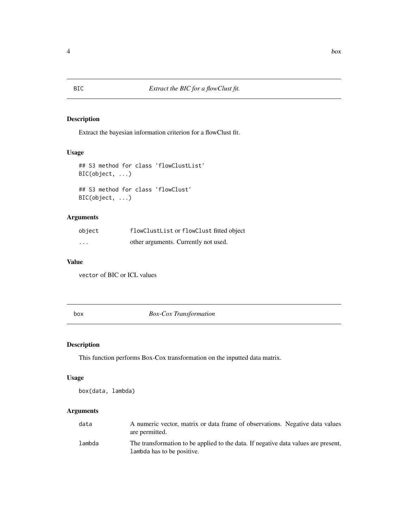#### Description

Extract the bayesian information criterion for a flowClust fit.

#### Usage

```
## S3 method for class 'flowClustList'
BIC(object, ...)
## S3 method for class 'flowClust'
BIC(object, ...)
```
#### Arguments

| object   | flowClustList or flowClust fitted object |
|----------|------------------------------------------|
| $\cdots$ | other arguments. Currently not used.     |

#### Value

vector of BIC or ICL values

<span id="page-3-1"></span>box *Box-Cox Transformation*

#### Description

This function performs Box-Cox transformation on the inputted data matrix.

#### Usage

box(data, lambda)

#### Arguments

| data   | A numeric vector, matrix or data frame of observations. Negative data values<br>are permitted.                   |
|--------|------------------------------------------------------------------------------------------------------------------|
| lambda | The transformation to be applied to the data. If negative data values are present,<br>Lambda has to be positive. |

<span id="page-3-0"></span>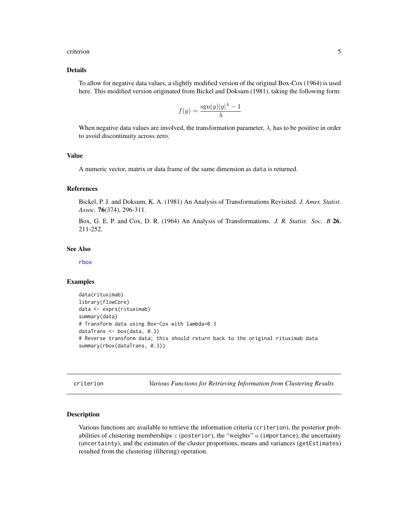#### <span id="page-4-0"></span>criterion 5

#### Details

To allow for negative data values, a slightly modified version of the original Box-Cox (1964) is used here. This modified version originated from Bickel and Doksum (1981), taking the following form:

$$
f(y) = \frac{\operatorname{sgn}(y)|y|^\lambda - 1}{\lambda}
$$

When negative data values are involved, the transformation parameter,  $\lambda$ , has to be positive in order to avoid discontinuity across zero.

#### Value

A numeric vector, matrix or data frame of the same dimension as data is returned.

#### References

Bickel, P. J. and Doksum, K. A. (1981) An Analysis of Transformations Revisited. *J. Amer. Statist. Assoc.* 76(374), 296-311.

Box, G. E. P. and Cox, D. R. (1964) An Analysis of Transformations. *J. R. Statist. Soc. B* 26, 211-252.

#### See Also

[rbox](#page-23-1)

#### Examples

```
data(rituximab)
library(flowCore)
data <- exprs(rituximab)
summary(data)
# Transform data using Box-Cox with lambda=0.3
dataTrans <- box(data, 0.3)
# Reverse transform data; this should return back to the original rituximab data
summary(rbox(dataTrans, 0.3))
```
<span id="page-4-2"></span>criterion *Various Functions for Retrieving Information from Clustering Results*

#### <span id="page-4-1"></span>**Description**

Various functions are available to retrieve the information criteria (criterion), the posterior probabilities of clustering memberships  $z$  (posterior), the "weights"  $u$  (importance), the uncertainty (uncertainty), and the estimates of the cluster proportions, means and variances (getEstimates) resulted from the clustering (filtering) operation.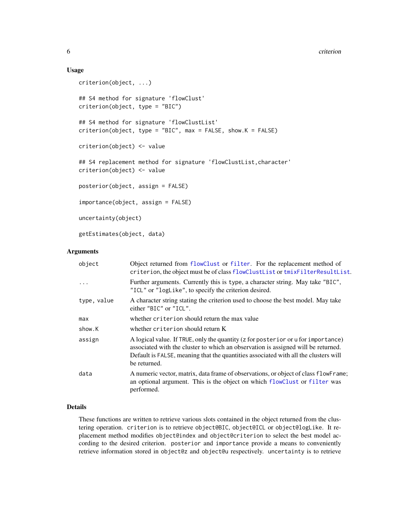#### Usage

```
criterion(object, ...)
## S4 method for signature 'flowClust'
criterion(object, type = "BIC")
## S4 method for signature 'flowClustList'
criterion(object, type = "BIC", max = FALSE, show.K = FALSE)
criterion(object) <- value
## S4 replacement method for signature 'flowClustList, character'
criterion(object) <- value
posterior(object, assign = FALSE)
importance(object, assign = FALSE)
uncertainty(object)
getEstimates(object, data)
```
**Arguments** 

| object      | Object returned from flowClust or filter. For the replacement method of<br>criterion, the object must be of class flowClustList or tmixFilterResultList.                                                                                                                      |
|-------------|-------------------------------------------------------------------------------------------------------------------------------------------------------------------------------------------------------------------------------------------------------------------------------|
| $\ddots$    | Further arguments. Currently this is type, a character string. May take "BIC",<br>"ICL" or "logLike", to specify the criterion desired.                                                                                                                                       |
| type, value | A character string stating the criterion used to choose the best model. May take<br>either $"BIC"$ or $"ICL"$ .                                                                                                                                                               |
| max         | whether criterion should return the max value                                                                                                                                                                                                                                 |
| show.K      | whether criterion should return K                                                                                                                                                                                                                                             |
| assign      | A logical value. If TRUE, only the quantity (z for posterior or u for importance)<br>associated with the cluster to which an observation is assigned will be returned.<br>Default is FALSE, meaning that the quantities associated with all the clusters will<br>be returned. |
| data        | A numeric vector, matrix, data frame of observations, or object of class flowFrame;<br>an optional argument. This is the object on which flowClust or filter was<br>performed.                                                                                                |

#### Details

These functions are written to retrieve various slots contained in the object returned from the clustering operation. criterion is to retrieve object@BIC, object@ICL or object@logLike. It replacement method modifies object@index and object@criterion to select the best model according to the desired criterion. posterior and importance provide a means to conveniently retrieve information stored in object@z and object@u respectively. uncertainty is to retrieve

<span id="page-5-0"></span>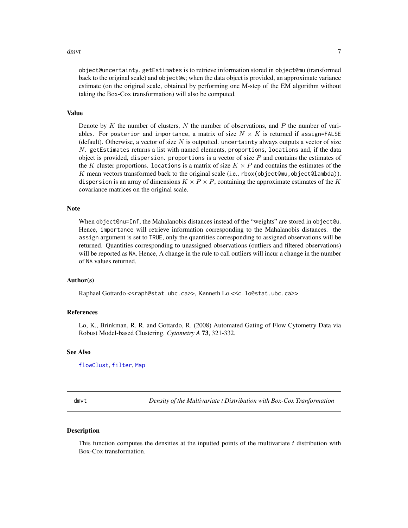#### <span id="page-6-0"></span>dmvt 7

object@uncertainty. getEstimates is to retrieve information stored in object@mu (transformed back to the original scale) and object@w; when the data object is provided, an approximate variance estimate (on the original scale, obtained by performing one M-step of the EM algorithm without taking the Box-Cox transformation) will also be computed.

#### Value

Denote by K the number of clusters, N the number of observations, and P the number of variables. For posterior and importance, a matrix of size  $N \times K$  is returned if assign=FALSE (default). Otherwise, a vector of size  $N$  is outputted. uncertainty always outputs a vector of size N. getEstimates returns a list with named elements, proportions, locations and, if the data object is provided, dispersion. proportions is a vector of size  $P$  and contains the estimates of the K cluster proportions. Locations is a matrix of size  $K \times P$  and contains the estimates of the K mean vectors transformed back to the original scale (i.e., rbox(object@mu,object@lambda)). dispersion is an array of dimensions  $K \times P \times P$ , containing the approximate estimates of the K covariance matrices on the original scale.

#### Note

When object@nu=Inf, the Mahalanobis distances instead of the "weights" are stored in object@u. Hence, importance will retrieve information corresponding to the Mahalanobis distances. the assign argument is set to TRUE, only the quantities corresponding to assigned observations will be returned. Quantities corresponding to unassigned observations (outliers and filtered observations) will be reported as NA. Hence, A change in the rule to call outliers will incur a change in the number of NA values returned.

#### Author(s)

Raphael Gottardo <<raph@stat.ubc.ca>>, Kenneth Lo <<c.lo@stat.ubc.ca>>

#### References

Lo, K., Brinkman, R. R. and Gottardo, R. (2008) Automated Gating of Flow Cytometry Data via Robust Model-based Clustering. *Cytometry A* 73, 321-332.

#### See Also

[flowClust](#page-8-1), [filter](#page-32-1), [Map](#page-17-1)

dmvt *Density of the Multivariate t Distribution with Box-Cox Tranformation*

#### **Description**

This function computes the densities at the inputted points of the multivariate  $t$  distribution with Box-Cox transformation.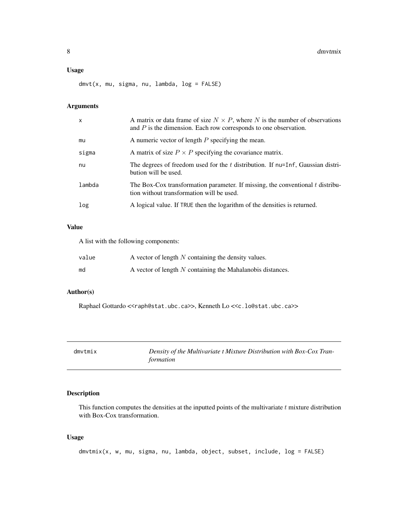#### <span id="page-7-0"></span>Usage

dmvt(x, mu, sigma, nu, lambda, log = FALSE)

#### Arguments

| x      | A matrix or data frame of size $N \times P$ , where N is the number of observations<br>and $P$ is the dimension. Each row corresponds to one observation. |
|--------|-----------------------------------------------------------------------------------------------------------------------------------------------------------|
| mu     | A numeric vector of length $P$ specifying the mean.                                                                                                       |
| sigma  | A matrix of size $P \times P$ specifying the covariance matrix.                                                                                           |
| nu     | The degrees of freedom used for the t distribution. If $nu=Inf$ , Gaussian distri-<br>bution will be used.                                                |
| lambda | The Box-Cox transformation parameter. If missing, the conventional $t$ distribu-<br>tion without transformation will be used.                             |
| log    | A logical value. If TRUE then the logarithm of the densities is returned.                                                                                 |

#### Value

A list with the following components:

| value | A vector of length $N$ containing the density values.      |
|-------|------------------------------------------------------------|
| md    | A vector of length N containing the Mahalanobis distances. |

#### Author(s)

Raphael Gottardo <<raph@stat.ubc.ca>>, Kenneth Lo <<c.lo@stat.ubc.ca>>

| dmvtmix | Density of the Multivariate t Mixture Distribution with Box-Cox Tran- |
|---------|-----------------------------------------------------------------------|
|         | formation                                                             |

#### Description

This function computes the densities at the inputted points of the multivariate  $t$  mixture distribution with Box-Cox transformation.

#### Usage

dmvtmix(x, w, mu, sigma, nu, lambda, object, subset, include, log = FALSE)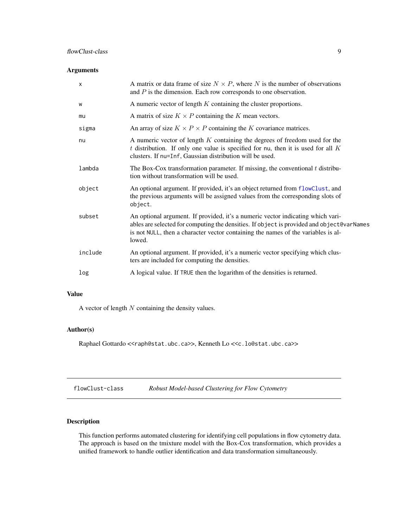#### <span id="page-8-0"></span>flowClust-class 9

#### Arguments

| $\boldsymbol{\mathsf{x}}$ | A matrix or data frame of size $N \times P$ , where N is the number of observations<br>and $P$ is the dimension. Each row corresponds to one observation.                                                                                                                   |
|---------------------------|-----------------------------------------------------------------------------------------------------------------------------------------------------------------------------------------------------------------------------------------------------------------------------|
| W                         | A numeric vector of length $K$ containing the cluster proportions.                                                                                                                                                                                                          |
| mu                        | A matrix of size $K \times P$ containing the K mean vectors.                                                                                                                                                                                                                |
| sigma                     | An array of size $K \times P \times P$ containing the K covariance matrices.                                                                                                                                                                                                |
| nu                        | A numeric vector of length $K$ containing the degrees of freedom used for the<br>$t$ distribution. If only one value is specified for nu, then it is used for all $K$<br>clusters. If nu=Inf, Gaussian distribution will be used.                                           |
| lambda                    | The Box-Cox transformation parameter. If missing, the conventional $t$ distribu-<br>tion without transformation will be used.                                                                                                                                               |
| object                    | An optional argument. If provided, it's an object returned from flowClust, and<br>the previous arguments will be assigned values from the corresponding slots of<br>object.                                                                                                 |
| subset                    | An optional argument. If provided, it's a numeric vector indicating which vari-<br>ables are selected for computing the densities. If object is provided and object@varNames<br>is not NULL, then a character vector containing the names of the variables is al-<br>lowed. |
| include                   | An optional argument. If provided, it's a numeric vector specifying which clus-<br>ters are included for computing the densities.                                                                                                                                           |
| log                       | A logical value. If TRUE then the logarithm of the densities is returned.                                                                                                                                                                                                   |

#### Value

A vector of length  $N$  containing the density values.

#### Author(s)

Raphael Gottardo <<raph@stat.ubc.ca>>, Kenneth Lo <<c.lo@stat.ubc.ca>>

<span id="page-8-2"></span>

| flowClust-class | Robust Model-based Clustering for Flow Cytometry |  |  |
|-----------------|--------------------------------------------------|--|--|
|-----------------|--------------------------------------------------|--|--|

#### <span id="page-8-1"></span>Description

This function performs automated clustering for identifying cell populations in flow cytometry data. The approach is based on the tmixture model with the Box-Cox transformation, which provides a unified framework to handle outlier identification and data transformation simultaneously.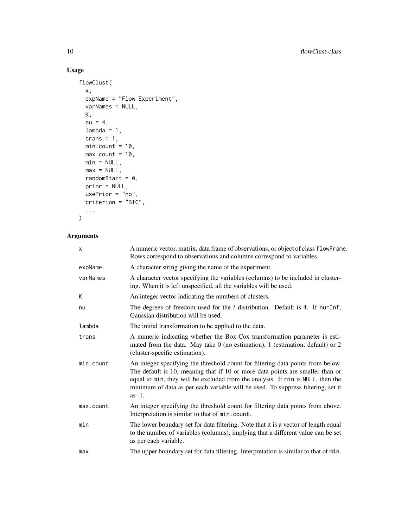### Usage

```
flowClust(
 x,
  expName = "Flow Experiment",
 varNames = NULL,
 K,
 nu = 4,
 lambda = 1,
  trans = 1,min.count = 10,max.count = 10,min = NULL,max = NULL,randomStart = 0,
 prior = NULL,
 usePrior = "no",
 criterion = "BIC",
  ...
\mathcal{L}
```
#### Arguments

| x         | A numeric vector, matrix, data frame of observations, or object of class flowFrame.<br>Rows correspond to observations and columns correspond to variables.                                                                                                                                                                                         |
|-----------|-----------------------------------------------------------------------------------------------------------------------------------------------------------------------------------------------------------------------------------------------------------------------------------------------------------------------------------------------------|
| expName   | A character string giving the name of the experiment.                                                                                                                                                                                                                                                                                               |
| varNames  | A character vector specifying the variables (columns) to be included in cluster-<br>ing. When it is left unspecified, all the variables will be used.                                                                                                                                                                                               |
| Κ         | An integer vector indicating the numbers of clusters.                                                                                                                                                                                                                                                                                               |
| nu        | The degrees of freedom used for the $t$ distribution. Default is 4. If nu=Inf,<br>Gaussian distribution will be used.                                                                                                                                                                                                                               |
| lambda    | The initial transformation to be applied to the data.                                                                                                                                                                                                                                                                                               |
| trans     | A numeric indicating whether the Box-Cox transformation parameter is esti-<br>mated from the data. May take 0 (no estimation), 1 (estimation, default) or 2<br>(cluster-specific estimation).                                                                                                                                                       |
| min.count | An integer specifying the threshold count for filtering data points from below.<br>The default is 10, meaning that if 10 or more data points are smaller than or<br>equal to min, they will be excluded from the analysis. If min is NULL, then the<br>minimum of data as per each variable will be used. To suppress filtering, set it<br>$as -1.$ |
| max.count | An integer specifying the threshold count for filtering data points from above.<br>Interpretation is similar to that of min.count.                                                                                                                                                                                                                  |
| min       | The lower boundary set for data filtering. Note that it is a vector of length equal<br>to the number of variables (columns), implying that a different value can be set<br>as per each variable.                                                                                                                                                    |
| max       | The upper boundary set for data filtering. Interpretation is similar to that of min.                                                                                                                                                                                                                                                                |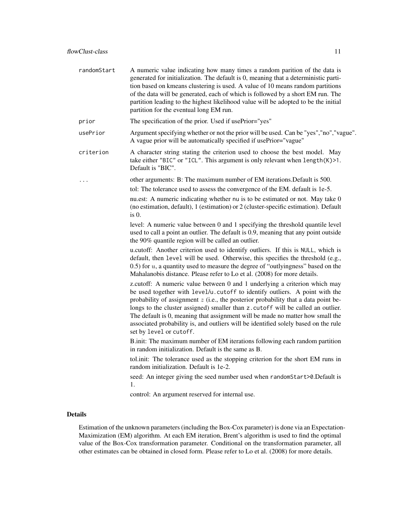| randomStart | A numeric value indicating how many times a random parition of the data is<br>generated for initialization. The default is 0, meaning that a deterministic parti-<br>tion based on kmeans clustering is used. A value of 10 means random partitions<br>of the data will be generated, each of which is followed by a short EM run. The<br>partition leading to the highest likelihood value will be adopted to be the initial<br>partition for the eventual long EM run.                                                                  |
|-------------|-------------------------------------------------------------------------------------------------------------------------------------------------------------------------------------------------------------------------------------------------------------------------------------------------------------------------------------------------------------------------------------------------------------------------------------------------------------------------------------------------------------------------------------------|
| prior       | The specification of the prior. Used if usePrior="yes"                                                                                                                                                                                                                                                                                                                                                                                                                                                                                    |
| usePrior    | Argument specifying whether or not the prior will be used. Can be "yes", "no", "vague".<br>A vague prior will be automatically specified if usePrior="vague"                                                                                                                                                                                                                                                                                                                                                                              |
| criterion   | A character string stating the criterion used to choose the best model. May<br>take either "BIC" or "ICL". This argument is only relevant when length(K)>1.<br>Default is "BIC".                                                                                                                                                                                                                                                                                                                                                          |
|             | other arguments: B: The maximum number of EM iterations. Default is 500.                                                                                                                                                                                                                                                                                                                                                                                                                                                                  |
|             | tol: The tolerance used to assess the convergence of the EM. default is 1e-5.                                                                                                                                                                                                                                                                                                                                                                                                                                                             |
|             | nu.est: A numeric indicating whether nu is to be estimated or not. May take 0<br>(no estimation, default), 1 (estimation) or 2 (cluster-specific estimation). Default<br>$is0$ .                                                                                                                                                                                                                                                                                                                                                          |
|             | level: A numeric value between 0 and 1 specifying the threshold quantile level<br>used to call a point an outlier. The default is 0.9, meaning that any point outside<br>the 90% quantile region will be called an outlier.                                                                                                                                                                                                                                                                                                               |
|             | u.cutoff: Another criterion used to identify outliers. If this is NULL, which is<br>default, then level will be used. Otherwise, this specifies the threshold (e.g.,<br>0.5) for $u$ , a quantity used to measure the degree of "outlyingness" based on the<br>Mahalanobis distance. Please refer to Lo et al. (2008) for more details.                                                                                                                                                                                                   |
|             | z.cutoff: A numeric value between 0 and 1 underlying a criterion which may<br>be used together with level/u.cutoff to identify outliers. A point with the<br>probability of assignment $z$ (i.e., the posterior probability that a data point be-<br>longs to the cluster assigned) smaller than z. cutoff will be called an outlier.<br>The default is 0, meaning that assignment will be made no matter how small the<br>associated probability is, and outliers will be identified solely based on the rule<br>set by level or cutoff. |
|             | B.init: The maximum number of EM iterations following each random partition<br>in random initialization. Default is the same as B.                                                                                                                                                                                                                                                                                                                                                                                                        |
|             | tol.init: The tolerance used as the stopping criterion for the short EM runs in<br>random initialization. Default is 1e-2.                                                                                                                                                                                                                                                                                                                                                                                                                |
|             | seed: An integer giving the seed number used when randomStart>0.Default is<br>1.                                                                                                                                                                                                                                                                                                                                                                                                                                                          |
|             | control: An argument reserved for internal use.                                                                                                                                                                                                                                                                                                                                                                                                                                                                                           |
|             |                                                                                                                                                                                                                                                                                                                                                                                                                                                                                                                                           |

#### Details

Estimation of the unknown parameters (including the Box-Cox parameter) is done via an Expectation-Maximization (EM) algorithm. At each EM iteration, Brent's algorithm is used to find the optimal value of the Box-Cox transformation parameter. Conditional on the transformation parameter, all other estimates can be obtained in closed form. Please refer to Lo et al. (2008) for more details.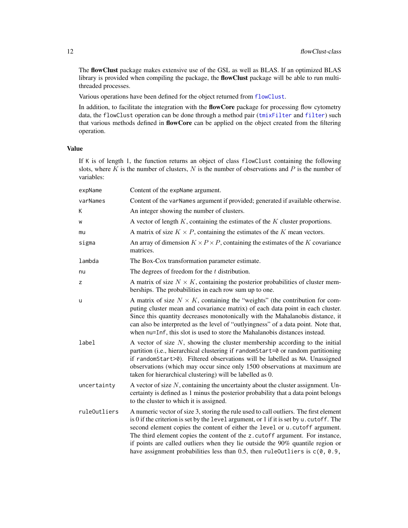The flowClust package makes extensive use of the GSL as well as BLAS. If an optimized BLAS library is provided when compiling the package, the **flowClust** package will be able to run multithreaded processes.

Various operations have been defined for the object returned from [flowClust](#page-8-1).

In addition, to facilitate the integration with the **flowCore** package for processing flow cytometry data, the flowClust operation can be done through a method pair ([tmixFilter](#page-32-1) and [filter](#page-32-1)) such that various methods defined in flowCore can be applied on the object created from the filtering operation.

#### Value

If K is of length 1, the function returns an object of class flowClust containing the following slots, where  $\overline{K}$  is the number of clusters,  $N$  is the number of observations and  $P$  is the number of variables:

| expName      | Content of the expName argument.                                                                                                                                                                                                                                                                                                                                                                                                                                                                                          |
|--------------|---------------------------------------------------------------------------------------------------------------------------------------------------------------------------------------------------------------------------------------------------------------------------------------------------------------------------------------------------------------------------------------------------------------------------------------------------------------------------------------------------------------------------|
| varNames     | Content of the varNames argument if provided; generated if available otherwise.                                                                                                                                                                                                                                                                                                                                                                                                                                           |
| K            | An integer showing the number of clusters.                                                                                                                                                                                                                                                                                                                                                                                                                                                                                |
| W            | A vector of length $K$ , containing the estimates of the $K$ cluster proportions.                                                                                                                                                                                                                                                                                                                                                                                                                                         |
| mu           | A matrix of size $K \times P$ , containing the estimates of the K mean vectors.                                                                                                                                                                                                                                                                                                                                                                                                                                           |
| sigma        | An array of dimension $K \times P \times P$ , containing the estimates of the K covariance<br>matrices.                                                                                                                                                                                                                                                                                                                                                                                                                   |
| lambda       | The Box-Cox transformation parameter estimate.                                                                                                                                                                                                                                                                                                                                                                                                                                                                            |
| nu           | The degrees of freedom for the $t$ distribution.                                                                                                                                                                                                                                                                                                                                                                                                                                                                          |
| Z            | A matrix of size $N \times K$ , containing the posterior probabilities of cluster mem-<br>berships. The probabilities in each row sum up to one.                                                                                                                                                                                                                                                                                                                                                                          |
| u            | A matrix of size $N \times K$ , containing the "weights" (the contribution for com-<br>puting cluster mean and covariance matrix) of each data point in each cluster.<br>Since this quantity decreases monotonically with the Mahalanobis distance, it<br>can also be interpreted as the level of "outlyingness" of a data point. Note that,<br>when nu=Inf, this slot is used to store the Mahalanobis distances instead.                                                                                                |
| label        | A vector of size $N$ , showing the cluster membership according to the initial<br>partition (i.e., hierarchical clustering if randomStart=0 or random partitioning<br>if randomStart>0). Filtered observations will be labelled as NA. Unassigned<br>observations (which may occur since only 1500 observations at maximum are<br>taken for hierarchical clustering) will be labelled as 0.                                                                                                                               |
| uncertainty  | A vector of size $N$ , containing the uncertainty about the cluster assignment. Un-<br>certainty is defined as 1 minus the posterior probability that a data point belongs<br>to the cluster to which it is assigned.                                                                                                                                                                                                                                                                                                     |
| ruleOutliers | A numeric vector of size 3, storing the rule used to call outliers. The first element<br>is 0 if the criterion is set by the level argument, or 1 if it is set by u. cutoff. The<br>second element copies the content of either the level or u. cutoff argument.<br>The third element copies the content of the z. cutoff argument. For instance,<br>if points are called outliers when they lie outside the 90% quantile region or<br>have assignment probabilities less than 0.5, then ruleOutliers is $c(0, 0.9, 0.9)$ |

<span id="page-11-0"></span>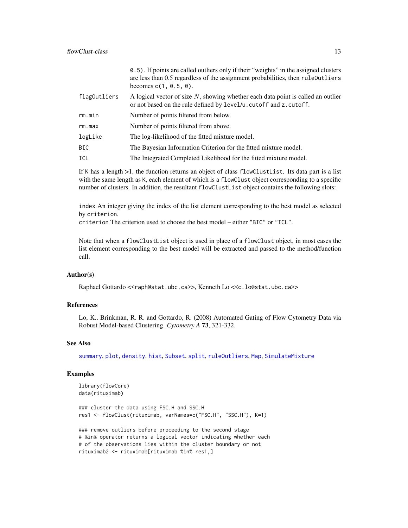<span id="page-12-0"></span>

|              | 0.5). If points are called outliers only if their "weights" in the assigned clusters<br>are less than 0.5 regardless of the assignment probabilities, then rule Outliers<br>becomes $c(1, 0.5, 0)$ . |
|--------------|------------------------------------------------------------------------------------------------------------------------------------------------------------------------------------------------------|
| flag0utliers | A logical vector of size $N$ , showing whether each data point is called an outlier<br>or not based on the rule defined by level/u.cutoff and z.cutoff.                                              |
| rm.min       | Number of points filtered from below.                                                                                                                                                                |
| rm.max       | Number of points filtered from above.                                                                                                                                                                |
| logLike      | The log-likelihood of the fitted mixture model.                                                                                                                                                      |
| BIC.         | The Bayesian Information Criterion for the fitted mixture model.                                                                                                                                     |
| ICL          | The Integrated Completed Likelihood for the fitted mixture model.                                                                                                                                    |

If K has a length >1, the function returns an object of class flowClustList. Its data part is a list with the same length as K, each element of which is a flowClust object corresponding to a specific number of clusters. In addition, the resultant flowClustList object contains the following slots:

index An integer giving the index of the list element corresponding to the best model as selected by criterion.

criterion The criterion used to choose the best model – either "BIC" or "ICL".

Note that when a flowClustList object is used in place of a flowClust object, in most cases the list element corresponding to the best model will be extracted and passed to the method/function call.

#### Author(s)

Raphael Gottardo <<raph@stat.ubc.ca>>, Kenneth Lo <<c.lo@stat.ubc.ca>>

#### References

Lo, K., Brinkman, R. R. and Gottardo, R. (2008) Automated Gating of Flow Cytometry Data via Robust Model-based Clustering. *Cytometry A* 73, 321-332.

#### See Also

[summary](#page-31-1), [plot](#page-0-0), [density](#page-14-1), [hist](#page-16-1), [Subset](#page-30-1), [split](#page-27-1), [ruleOutliers](#page-25-1), [Map](#page-17-1), [SimulateMixture](#page-0-0)

#### Examples

```
library(flowCore)
data(rituximab)
```
### cluster the data using FSC.H and SSC.H res1 <- flowClust(rituximab, varNames=c("FSC.H", "SSC.H"), K=1)

### remove outliers before proceeding to the second stage # %in% operator returns a logical vector indicating whether each # of the observations lies within the cluster boundary or not rituximab2 <- rituximab[rituximab %in% res1,]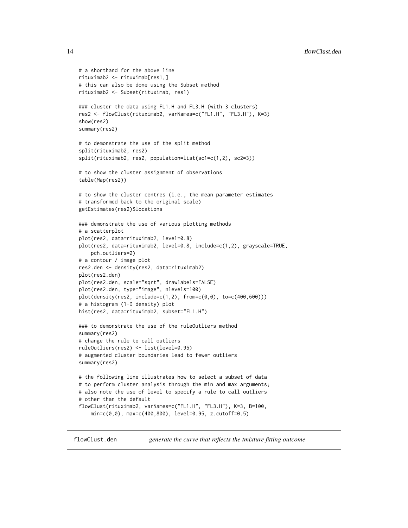```
# a shorthand for the above line
rituximab2 <- rituximab[res1,]
# this can also be done using the Subset method
rituximab2 <- Subset(rituximab, res1)
### cluster the data using FL1.H and FL3.H (with 3 clusters)
res2 <- flowClust(rituximab2, varNames=c("FL1.H", "FL3.H"), K=3)
show(res2)
summary(res2)
# to demonstrate the use of the split method
split(rituximab2, res2)
split(rituximab2, res2, population=list(sc1=c(1,2), sc2=3))
# to show the cluster assignment of observations
table(Map(res2))
# to show the cluster centres (i.e., the mean parameter estimates
# transformed back to the original scale)
getEstimates(res2)$locations
### demonstrate the use of various plotting methods
# a scatterplot
plot(res2, data=rituximab2, level=0.8)
plot(res2, data=rituximab2, level=0.8, include=c(1,2), grayscale=TRUE,
    pch.outliers=2)
# a contour / image plot
res2.den <- density(res2, data=rituximab2)
plot(res2.den)
plot(res2.den, scale="sqrt", drawlabels=FALSE)
plot(res2.den, type="image", nlevels=100)
plot(density(res2, include=c(1,2), from=c(0,0), to=c(400,600)))
# a histogram (1-D density) plot
hist(res2, data=rituximab2, subset="FL1.H")
### to demonstrate the use of the ruleOutliers method
summary(res2)
# change the rule to call outliers
ruleOutliers(res2) <- list(level=0.95)
# augmented cluster boundaries lead to fewer outliers
summary(res2)
# the following line illustrates how to select a subset of data
# to perform cluster analysis through the min and max arguments;
# also note the use of level to specify a rule to call outliers
# other than the default
flowClust(rituximab2, varNames=c("FL1.H", "FL3.H"), K=3, B=100,
    min=c(0,0), max=c(400,800), level=0.95, z.cutoff=0.5)
```
flowClust.den *generate the curve that reflects the tmixture fitting outcome*

<span id="page-13-0"></span>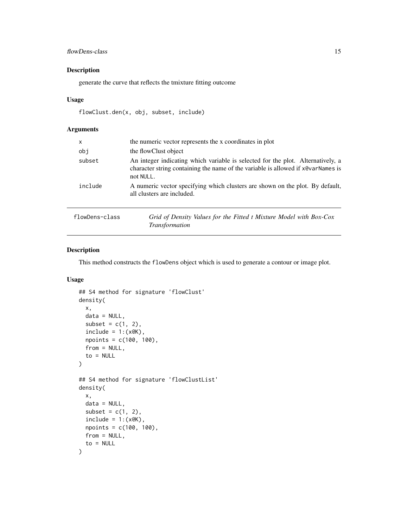#### <span id="page-14-0"></span>flowDens-class 15

#### Description

generate the curve that reflects the tmixture fitting outcome

#### Usage

```
flowClust.den(x, obj, subset, include)
```
#### Arguments

| $\mathsf{x}$   | the numeric vector represents the x coordinates in plot                                                                                                                          |
|----------------|----------------------------------------------------------------------------------------------------------------------------------------------------------------------------------|
| obi            | the flowClust object                                                                                                                                                             |
| subset         | An integer indicating which variable is selected for the plot. Alternatively, a<br>character string containing the name of the variable is allowed if x@varNames is<br>not NULL. |
| include        | A numeric vector specifying which clusters are shown on the plot. By default,<br>all clusters are included.                                                                      |
| 1. <b>.</b> 1. | $C \cup D$ $D \cup D$ $D \cup D$ $D \cup D$ $D \cup D$ $D$                                                                                                                       |

| flowDens-class | Grid of Density Values for the Fitted t Mixture Model with Box-Cox |
|----------------|--------------------------------------------------------------------|
|                | <i>Transformation</i>                                              |

#### <span id="page-14-1"></span>Description

This method constructs the flowDens object which is used to generate a contour or image plot.

#### Usage

```
## S4 method for signature 'flowClust'
density(
 x,
  data = NULL,
  subset = c(1, 2),
  include = 1:(x@K),npoints = c(100, 100),
  from = NULL,
  to = NULL
)
## S4 method for signature 'flowClustList'
density(
  x,
 data = NULL,
  subset = c(1, 2),
  include = 1:(x@K),npoints = c(100, 100),
 from = NULL,
  to = NULL
\mathcal{L}
```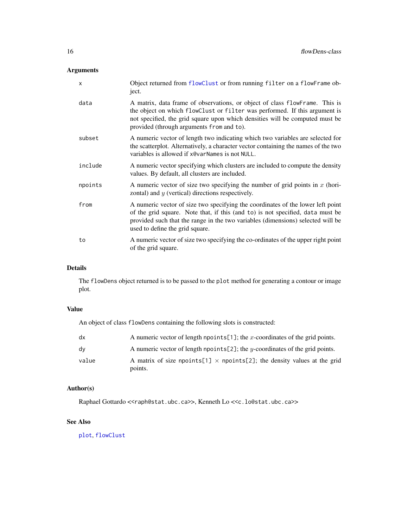<span id="page-15-0"></span>

| X       | Object returned from flowClust or from running filter on a flowFrame ob-<br>ject.                                                                                                                                                                                                       |
|---------|-----------------------------------------------------------------------------------------------------------------------------------------------------------------------------------------------------------------------------------------------------------------------------------------|
| data    | A matrix, data frame of observations, or object of class flowFrame. This is<br>the object on which flowClust or filter was performed. If this argument is<br>not specified, the grid square upon which densities will be computed must be<br>provided (through arguments from and to).  |
| subset  | A numeric vector of length two indicating which two variables are selected for<br>the scatterplot. Alternatively, a character vector containing the names of the two<br>variables is allowed if x@varNames is not NULL.                                                                 |
| include | A numeric vector specifying which clusters are included to compute the density<br>values. By default, all clusters are included.                                                                                                                                                        |
| npoints | A numeric vector of size two specifying the number of grid points in $x$ (hori-<br>zontal) and $y$ (vertical) directions respectively.                                                                                                                                                  |
| from    | A numeric vector of size two specifying the coordinates of the lower left point<br>of the grid square. Note that, if this (and to) is not specified, data must be<br>provided such that the range in the two variables (dimensions) selected will be<br>used to define the grid square. |
| to      | A numeric vector of size two specifying the co-ordinates of the upper right point<br>of the grid square.                                                                                                                                                                                |

#### Details

The flowDens object returned is to be passed to the plot method for generating a contour or image plot.

#### Value

An object of class flowDens containing the following slots is constructed:

| dx    | A numeric vector of length npoints [1]; the x-coordinates of the grid points.              |
|-------|--------------------------------------------------------------------------------------------|
| dy    | A numeric vector of length npoints [2]; the y-coordinates of the grid points.              |
| value | A matrix of size npoints[1] $\times$ npoints[2]; the density values at the grid<br>points. |

#### Author(s)

Raphael Gottardo <<raph@stat.ubc.ca>>, Kenneth Lo <<c.lo@stat.ubc.ca>>

#### See Also

[plot](#page-21-1), [flowClust](#page-8-1)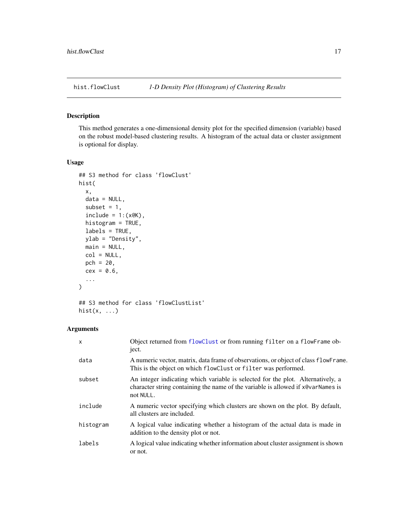<span id="page-16-1"></span><span id="page-16-0"></span>

#### Description

This method generates a one-dimensional density plot for the specified dimension (variable) based on the robust model-based clustering results. A histogram of the actual data or cluster assignment is optional for display.

#### Usage

```
## S3 method for class 'flowClust'
hist(
 x,
 data = NULL,
  subset = 1,
  include = 1:(x@K),histogram = TRUE,
 labels = TRUE,
 ylab = "Density",
 main = NULL,
 col = NULL,pch = 20,
  cex = 0.6,
  ...
)
## S3 method for class 'flowClustList'
```

```
hist(x, \ldots)
```
#### Arguments

| $\mathsf{x}$ | Object returned from flowClust or from running filter on a flowFrame ob-<br>ject.                                                                                                 |
|--------------|-----------------------------------------------------------------------------------------------------------------------------------------------------------------------------------|
| data         | A numeric vector, matrix, data frame of observations, or object of class flowFrame.<br>This is the object on which flowClust or filter was performed.                             |
| subset       | An integer indicating which variable is selected for the plot. Alternatively, a<br>character string containing the name of the variable is allowed if x @varNames is<br>not NULL. |
| include      | A numeric vector specifying which clusters are shown on the plot. By default,<br>all clusters are included.                                                                       |
| histogram    | A logical value indicating whether a histogram of the actual data is made in<br>addition to the density plot or not.                                                              |
| labels       | A logical value indicating whether information about cluster assignment is shown<br>or not.                                                                                       |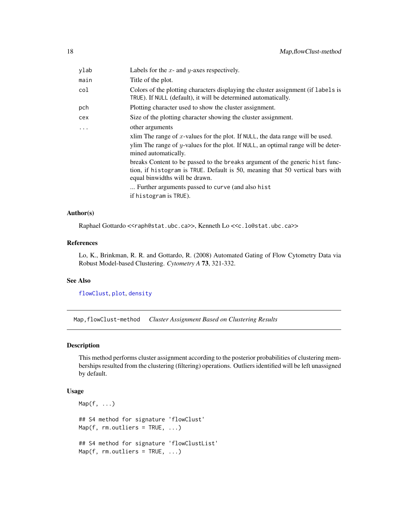<span id="page-17-0"></span>

| ylab     | Labels for the $x$ - and $y$ -axes respectively.                                                                                                                                                                                                                                                                                                                                                                     |
|----------|----------------------------------------------------------------------------------------------------------------------------------------------------------------------------------------------------------------------------------------------------------------------------------------------------------------------------------------------------------------------------------------------------------------------|
| main     | Title of the plot.                                                                                                                                                                                                                                                                                                                                                                                                   |
| col      | Colors of the plotting characters displaying the cluster assignment (if labels is<br>TRUE). If NULL (default), it will be determined automatically.                                                                                                                                                                                                                                                                  |
| pch      | Plotting character used to show the cluster assignment.                                                                                                                                                                                                                                                                                                                                                              |
| cex      | Size of the plotting character showing the cluster assignment.                                                                                                                                                                                                                                                                                                                                                       |
| $\cdots$ | other arguments<br>xlim The range of x-values for the plot. If NULL, the data range will be used.<br>ylim The range of $y$ -values for the plot. If NULL, an optimal range will be deter-<br>mined automatically.<br>breaks Content to be passed to the breaks argument of the generic hist func-<br>tion, if histogram is TRUE. Default is 50, meaning that 50 vertical bars with<br>equal binwidths will be drawn. |
|          | Further arguments passed to curve (and also hist.<br>if histogram is TRUE).                                                                                                                                                                                                                                                                                                                                          |
|          |                                                                                                                                                                                                                                                                                                                                                                                                                      |

#### Author(s)

Raphael Gottardo <<raph@stat.ubc.ca>>, Kenneth Lo <<c.lo@stat.ubc.ca>>

#### References

Lo, K., Brinkman, R. R. and Gottardo, R. (2008) Automated Gating of Flow Cytometry Data via Robust Model-based Clustering. *Cytometry A* 73, 321-332.

#### See Also

[flowClust](#page-8-1), [plot](#page-0-0), [density](#page-14-1)

Map,flowClust-method *Cluster Assignment Based on Clustering Results*

#### <span id="page-17-1"></span>Description

This method performs cluster assignment according to the posterior probabilities of clustering memberships resulted from the clustering (filtering) operations. Outliers identified will be left unassigned by default.

#### Usage

```
Map(f, \ldots)## S4 method for signature 'flowClust'
Map(f, rm.outliers = TRUE, ...)## S4 method for signature 'flowClustList'
Map(f, rm.outliers = TRUE, ...)
```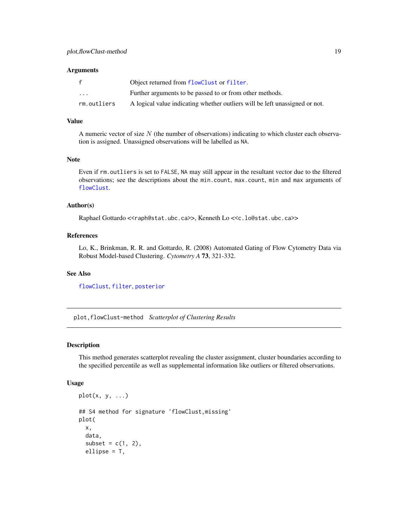<span id="page-18-0"></span>

|             | Object returned from flowClust or filter.                                   |
|-------------|-----------------------------------------------------------------------------|
| $\cdots$    | Further arguments to be passed to or from other methods.                    |
| rm.outliers | A logical value indicating whether outliers will be left unassigned or not. |

#### Value

A numeric vector of size  $N$  (the number of observations) indicating to which cluster each observation is assigned. Unassigned observations will be labelled as NA.

#### Note

Even if rm.outliers is set to FALSE, NA may still appear in the resultant vector due to the filtered observations; see the descriptions about the min.count, max.count, min and max arguments of [flowClust](#page-8-1).

#### Author(s)

Raphael Gottardo <<raph@stat.ubc.ca>>, Kenneth Lo <<c.lo@stat.ubc.ca>>

#### References

Lo, K., Brinkman, R. R. and Gottardo, R. (2008) Automated Gating of Flow Cytometry Data via Robust Model-based Clustering. *Cytometry A* 73, 321-332.

#### See Also

[flowClust](#page-8-1), [filter](#page-32-1), [posterior](#page-4-1)

plot,flowClust-method *Scatterplot of Clustering Results*

#### **Description**

This method generates scatterplot revealing the cluster assignment, cluster boundaries according to the specified percentile as well as supplemental information like outliers or filtered observations.

#### Usage

```
plot(x, y, ...)## S4 method for signature 'flowClust,missing'
plot(
  x,
  data,
  subset = c(1, 2),
  ellipse = T,
```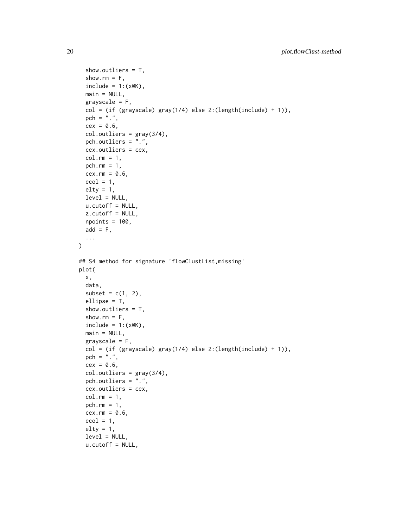```
show.outliers = T,
  show.rm = F,
  include = 1:(x@K),main = NULL,grayscale = F,
  col = (if (grayscale) gray(1/4) else 2:(length(include) + 1)),pch = ".",
  cex = 0.6,
  col.outliers = gray(3/4),
  pch.outliers = ".",
  cex.outliers = cex,
  col.rm = 1,pch.rm = 1,
  cex.rm = 0.6,
  ecol = 1,
  elty = 1,
 level = NULL,
 u.cutoff = NULL,
 z.cutoff = NULL,
 npoints = 100,
 add = F,
  ...
\mathcal{L}## S4 method for signature 'flowClustList,missing'
plot(
 x,
 data,
  subset = c(1, 2),
  ellipse = T,
  show.outliers = T,
  show.rm = F,
  include = 1:(x@K),main = NULL,grayscale = F,
  col = (if (grayscale) gray(1/4) else 2:(length(include) + 1)),pch = ".",
  cex = 0.6,
  col.outliers = gray(3/4),
  pch.outliers = ".",
  cex.outliers = cex,
  col.rm = 1,pch.rm = 1,
  cex.rm = 0.6,
  ecol = 1,
  elty = 1,
  level = NULL,
  u.cutoff = NULL,
```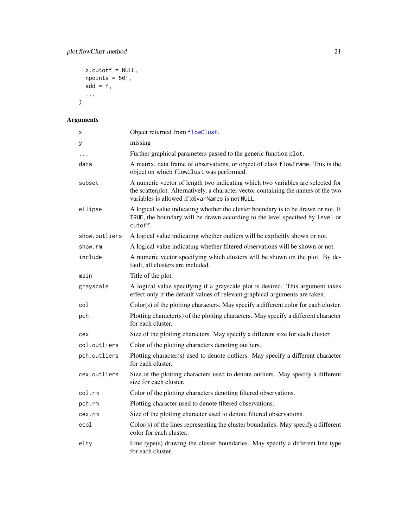```
z.cutoff = NULL,
  npoints = 501,add = F,...
\overline{)}
```

| X             | Object returned from flowClust.                                                                                                                                                                                         |
|---------------|-------------------------------------------------------------------------------------------------------------------------------------------------------------------------------------------------------------------------|
| у             | missing                                                                                                                                                                                                                 |
| .             | Further graphical parameters passed to the generic function plot.                                                                                                                                                       |
| data          | A matrix, data frame of observations, or object of class flowFrame. This is the<br>object on which flowClust was performed.                                                                                             |
| subset        | A numeric vector of length two indicating which two variables are selected for<br>the scatterplot. Alternatively, a character vector containing the names of the two<br>variables is allowed if x@varNames is not NULL. |
| ellipse       | A logical value indicating whether the cluster boundary is to be drawn or not. If<br>TRUE, the boundary will be drawn according to the level specified by level or<br>cutoff.                                           |
| show.outliers | A logical value indicating whether outliers will be explicitly shown or not.                                                                                                                                            |
| show.rm       | A logical value indicating whether filtered observations will be shown or not.                                                                                                                                          |
| include       | A numeric vector specifying which clusters will be shown on the plot. By de-<br>fault, all clusters are included.                                                                                                       |
| main          | Title of the plot.                                                                                                                                                                                                      |
| grayscale     | A logical value specifying if a grayscale plot is desired. This argument takes<br>effect only if the default values of relevant graphical arguments are taken.                                                          |
| col           | Color(s) of the plotting characters. May specify a different color for each cluster.                                                                                                                                    |
| pch           | Plotting character(s) of the plotting characters. May specify a different character<br>for each cluster.                                                                                                                |
| cex           | Size of the plotting characters. May specify a different size for each cluster.                                                                                                                                         |
| col.outliers  | Color of the plotting characters denoting outliers.                                                                                                                                                                     |
| pch.outliers  | Plotting character(s) used to denote outliers. May specify a different character<br>for each cluster.                                                                                                                   |
| cex.outliers  | Size of the plotting characters used to denote outliers. May specify a different<br>size for each cluster.                                                                                                              |
| col.rm        | Color of the plotting characters denoting filtered observations.                                                                                                                                                        |
| pch.rm        | Plotting character used to denote filtered observations.                                                                                                                                                                |
| cex.rm        | Size of the plotting character used to denote filtered observations.                                                                                                                                                    |
| ecol          | Color(s) of the lines representing the cluster boundaries. May specify a different<br>color for each cluster.                                                                                                           |
| elty          | Line type(s) drawing the cluster boundaries. May specify a different line type<br>for each cluster.                                                                                                                     |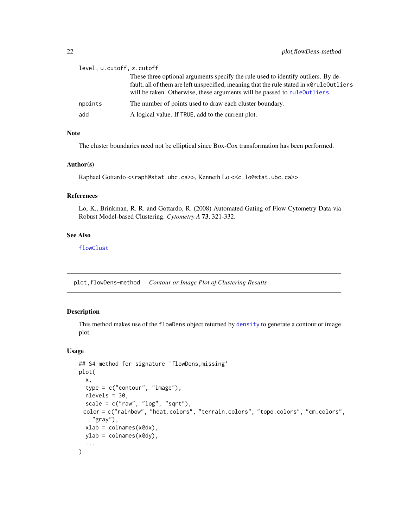<span id="page-21-0"></span>

| level, u.cutoff, z.cutoff |                                                                                                                                                                                                                                                            |
|---------------------------|------------------------------------------------------------------------------------------------------------------------------------------------------------------------------------------------------------------------------------------------------------|
|                           | These three optional arguments specify the rule used to identify outliers. By de-<br>fault, all of them are left unspecified, meaning that the rule stated in x@rule0utliers<br>will be taken. Otherwise, these arguments will be passed to rule outliers. |
| npoints                   | The number of points used to draw each cluster boundary.                                                                                                                                                                                                   |
| add                       | A logical value. If TRUE, add to the current plot.                                                                                                                                                                                                         |

#### Note

The cluster boundaries need not be elliptical since Box-Cox transformation has been performed.

#### Author(s)

Raphael Gottardo <<raph@stat.ubc.ca>>, Kenneth Lo <<c.lo@stat.ubc.ca>>

#### References

Lo, K., Brinkman, R. R. and Gottardo, R. (2008) Automated Gating of Flow Cytometry Data via Robust Model-based Clustering. *Cytometry A* 73, 321-332.

#### See Also

[flowClust](#page-8-1)

plot,flowDens-method *Contour or Image Plot of Clustering Results*

#### <span id="page-21-1"></span>Description

This method makes use of the flowDens object returned by [density](#page-14-1) to generate a contour or image plot.

#### Usage

```
## S4 method for signature 'flowDens,missing'
plot(
  x,
  type = c("contour", "image"),
  nlevels = 30,
  scale = c("raw", "log", "sqrt"),
 color = c("rainbow", "heat.colors", "terrain.colors", "topo.colors", "cm.colors",
    "gray"),
  xlab = colnames(x@dx),
 ylab = colnames(x@dy),
  ...
)
```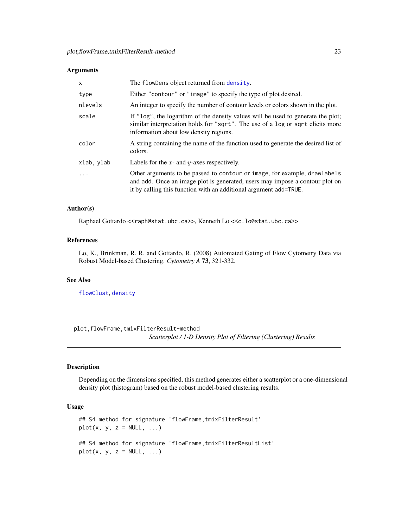<span id="page-22-0"></span>

| $\mathsf{x}$ | The flowDens object returned from density.                                                                                                                                                                                     |
|--------------|--------------------------------------------------------------------------------------------------------------------------------------------------------------------------------------------------------------------------------|
| type         | Either "contour" or "image" to specify the type of plot desired.                                                                                                                                                               |
| nlevels      | An integer to specify the number of contour levels or colors shown in the plot.                                                                                                                                                |
| scale        | If "log", the logarithm of the density values will be used to generate the plot;<br>similar interpretation holds for "sqrt". The use of a log or sqrt elicits more<br>information about low density regions.                   |
| color        | A string containing the name of the function used to generate the desired list of<br>colors.                                                                                                                                   |
| xlab, ylab   | Labels for the $x$ - and $y$ -axes respectively.                                                                                                                                                                               |
| $\cdot$      | Other arguments to be passed to contour or image, for example, drawlabels<br>and add. Once an image plot is generated, users may impose a contour plot on<br>it by calling this function with an additional argument add=TRUE. |

#### Author(s)

Raphael Gottardo <<raph@stat.ubc.ca>>, Kenneth Lo <<c.lo@stat.ubc.ca>>

#### References

Lo, K., Brinkman, R. R. and Gottardo, R. (2008) Automated Gating of Flow Cytometry Data via Robust Model-based Clustering. *Cytometry A* 73, 321-332.

#### See Also

[flowClust](#page-8-1), [density](#page-14-1)

plot,flowFrame,tmixFilterResult-method *Scatterplot / 1-D Density Plot of Filtering (Clustering) Results*

#### <span id="page-22-1"></span>Description

Depending on the dimensions specified, this method generates either a scatterplot or a one-dimensional density plot (histogram) based on the robust model-based clustering results.

#### Usage

```
## S4 method for signature 'flowFrame,tmixFilterResult'
plot(x, y, z = NULL, ...)## S4 method for signature 'flowFrame, tmixFilterResultList'
plot(x, y, z = NULL, ...)
```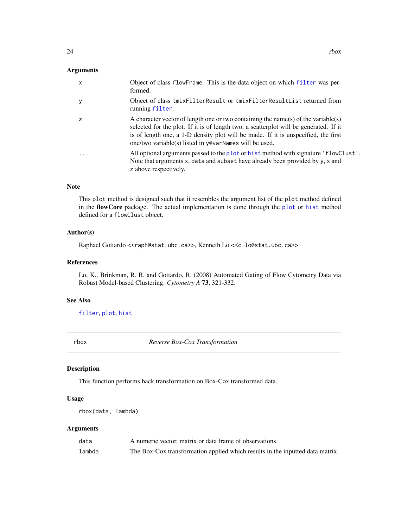<span id="page-23-0"></span>

| $\mathsf{x}$   | Object of class flowFrame. This is the data object on which filter was per-<br>formed.                                                                                                                                                                                                                                     |
|----------------|----------------------------------------------------------------------------------------------------------------------------------------------------------------------------------------------------------------------------------------------------------------------------------------------------------------------------|
| у              | Object of class tmixFilterResult or tmixFilterResultList returned from<br>running filter.                                                                                                                                                                                                                                  |
| $\overline{z}$ | A character vector of length one or two containing the name(s) of the variable(s)<br>selected for the plot. If it is of length two, a scatterplot will be generated. If it<br>is of length one, a 1-D density plot will be made. If it is unspecified, the first<br>one/two variable(s) listed in y@varNames will be used. |
| $\cdot$        | All optional arguments passed to the plot or hist method with signature 'flowClust'.<br>Note that arguments x, data and subset have already been provided by y, x and<br>z above respectively.                                                                                                                             |

#### Note

This plot method is designed such that it resembles the argument list of the plot method defined in the flowCore package. The actual implementation is done through the [plot](#page-0-0) or [hist](#page-16-1) method defined for a flowClust object.

#### Author(s)

Raphael Gottardo <<raph@stat.ubc.ca>>, Kenneth Lo <<c.lo@stat.ubc.ca>>

#### References

Lo, K., Brinkman, R. R. and Gottardo, R. (2008) Automated Gating of Flow Cytometry Data via Robust Model-based Clustering. *Cytometry A* 73, 321-332.

#### See Also

[filter](#page-32-1), [plot](#page-0-0), [hist](#page-16-1)

<span id="page-23-1"></span>rbox *Reverse Box-Cox Transformation*

#### Description

This function performs back transformation on Box-Cox transformed data.

#### Usage

rbox(data, lambda)

#### Arguments

| data   | A numeric vector, matrix or data frame of observations.                       |
|--------|-------------------------------------------------------------------------------|
| lambda | The Box-Cox transformation applied which results in the inputted data matrix. |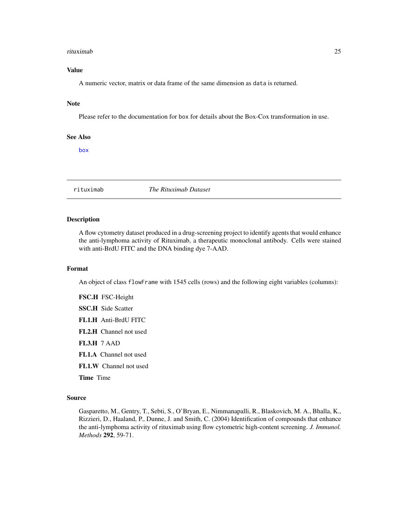#### <span id="page-24-0"></span>rituximab 25

#### Value

A numeric vector, matrix or data frame of the same dimension as data is returned.

#### Note

Please refer to the documentation for box for details about the Box-Cox transformation in use.

#### See Also

[box](#page-3-1)

rituximab *The Rituximab Dataset*

#### Description

A flow cytometry dataset produced in a drug-screening project to identify agents that would enhance the anti-lymphoma activity of Rituximab, a therapeutic monoclonal antibody. Cells were stained with anti-BrdU FITC and the DNA binding dye 7-AAD.

#### Format

An object of class flowFrame with 1545 cells (rows) and the following eight variables (columns):

FSC.H FSC-Height

SSC.H Side Scatter

- FL1.H Anti-BrdU FITC
- FL2.H Channel not used

FL3.H 7 AAD

- FL1.A Channel not used
- FL1.W Channel not used

Time Time

#### Source

Gasparetto, M., Gentry, T., Sebti, S., O'Bryan, E., Nimmanapalli, R., Blaskovich, M. A., Bhalla, K., Rizzieri, D., Haaland, P., Dunne, J. and Smith, C. (2004) Identification of compounds that enhance the anti-lymphoma activity of rituximab using flow cytometric high-content screening. *J. Immunol. Methods* 292, 59-71.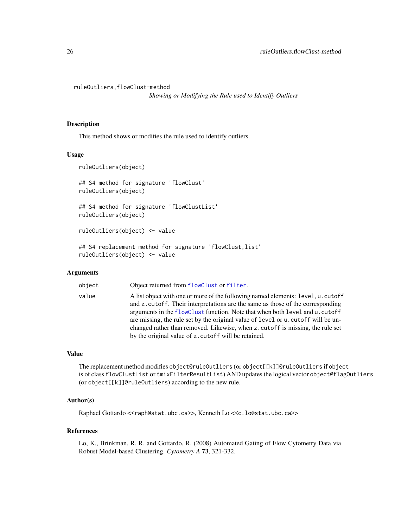<span id="page-25-0"></span>ruleOutliers,flowClust-method

*Showing or Modifying the Rule used to Identify Outliers*

#### <span id="page-25-1"></span>Description

This method shows or modifies the rule used to identify outliers.

#### Usage

```
ruleOutliers(object)
## S4 method for signature 'flowClust'
ruleOutliers(object)
## S4 method for signature 'flowClustList'
ruleOutliers(object)
ruleOutliers(object) <- value
## S4 replacement method for signature 'flowClust,list'
ruleOutliers(object) <- value
```
#### Arguments

| object | Object returned from flowClust or filter.                                                                                                                                                                                                                                                                                                                                                                                                                                          |
|--------|------------------------------------------------------------------------------------------------------------------------------------------------------------------------------------------------------------------------------------------------------------------------------------------------------------------------------------------------------------------------------------------------------------------------------------------------------------------------------------|
| value  | A list object with one or more of the following named elements: level, u. cutoff<br>and z cutoff. Their interpretations are the same as those of the corresponding<br>arguments in the flowClust function. Note that when both level and u. cutoff<br>are missing, the rule set by the original value of level or u. cutoff will be un-<br>changed rather than removed. Likewise, when z . cutoff is missing, the rule set<br>by the original value of z. cutoff will be retained. |

#### Value

The replacement method modifies object@ruleOutliers (or object[[k]]@ruleOutliers if object is of class flowClustList or tmixFilterResultList) AND updates the logical vector object@flagOutliers (or object[[k]]@ruleOutliers) according to the new rule.

#### Author(s)

Raphael Gottardo <<raph@stat.ubc.ca>>, Kenneth Lo <<c.lo@stat.ubc.ca>>

#### References

Lo, K., Brinkman, R. R. and Gottardo, R. (2008) Automated Gating of Flow Cytometry Data via Robust Model-based Clustering. *Cytometry A* 73, 321-332.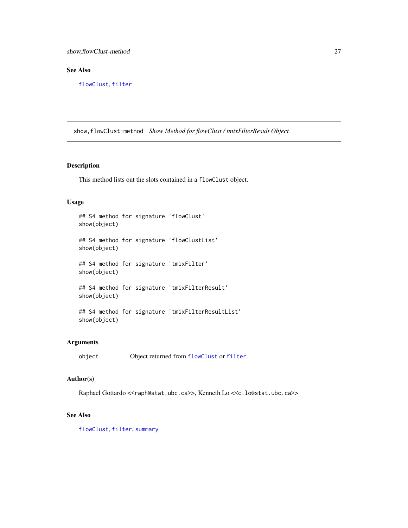#### <span id="page-26-0"></span>See Also

[flowClust](#page-8-1), [filter](#page-32-1)

show,flowClust-method *Show Method for flowClust / tmixFilterResult Object*

#### Description

This method lists out the slots contained in a flowClust object.

#### Usage

```
## S4 method for signature 'flowClust'
show(object)
## S4 method for signature 'flowClustList'
show(object)
## S4 method for signature 'tmixFilter'
show(object)
## S4 method for signature 'tmixFilterResult'
show(object)
## S4 method for signature 'tmixFilterResultList'
show(object)
```
#### Arguments

```
object Object returned from flowClust or filter.
```
#### Author(s)

Raphael Gottardo <<raph@stat.ubc.ca>>, Kenneth Lo <<c.lo@stat.ubc.ca>>

#### See Also

[flowClust](#page-8-1), [filter](#page-32-1), [summary](#page-31-1)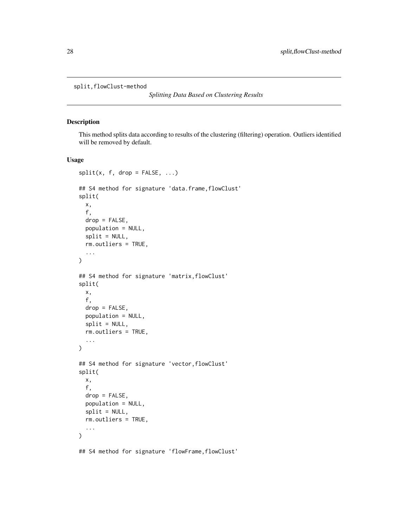<span id="page-27-0"></span>split,flowClust-method

*Splitting Data Based on Clustering Results*

#### <span id="page-27-1"></span>Description

This method splits data according to results of the clustering (filtering) operation. Outliers identified will be removed by default.

#### Usage

```
split(x, f, drop = FALSE, ...)## S4 method for signature 'data.frame,flowClust'
split(
 x,
  f,
 drop = FALSE,
 population = NULL,
  split = NULL,rm.outliers = TRUE,
  ...
)
## S4 method for signature 'matrix,flowClust'
split(
 x,
 f,
 drop = FALSE,
 population = NULL,
  split = NULL,rm.outliers = TRUE,
  ...
)
## S4 method for signature 'vector, flowClust'
split(
 x,
  f,
  drop = FALSE,
 population = NULL,
  split = NULL,rm.outliers = TRUE,
  ...
)
```
## S4 method for signature 'flowFrame,flowClust'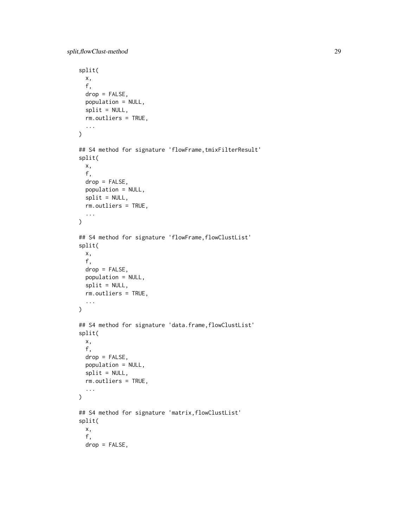```
split(
 x,
  f,
  drop = FALSE,
 population = NULL,
  split = NULL,rm.outliers = TRUE,
  ...
\mathcal{L}## S4 method for signature 'flowFrame, tmixFilterResult'
split(
 x,
  f,
 drop = FALSE,population = NULL,
  split = NULL,
 rm.outliers = TRUE,
  ...
\lambda## S4 method for signature 'flowFrame, flowClustList'
split(
 x,
  f,
  drop = FALSE,
 population = NULL,
  split = NULL,
  rm.outliers = TRUE,
  ...
\mathcal{L}## S4 method for signature 'data.frame,flowClustList'
split(
 x,
 f,
 drop = FALSE,
 population = NULL,
  split = NULL,rm.outliers = TRUE,
  ...
\mathcal{L}## S4 method for signature 'matrix,flowClustList'
split(
 x,
  f,
 drop = FALSE,
```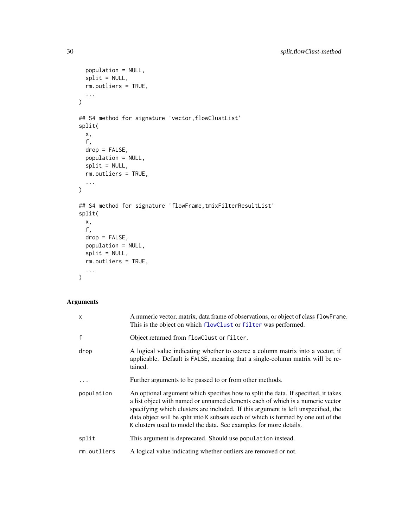```
population = NULL,
 split = NULL,
 rm.outliers = TRUE,
 ...
\mathcal{L}## S4 method for signature 'vector,flowClustList'
split(
 x,
 f,
 drop = FALSE,population = NULL,
 split = NULL,
 rm.outliers = TRUE,
  ...
)
## S4 method for signature 'flowFrame,tmixFilterResultList'
split(
 x,
 f,
 drop = FALSE,
 population = NULL,
 split = NULL,rm.outliers = TRUE,
  ...
\mathcal{L}
```

| $\mathsf{x}$ | A numeric vector, matrix, data frame of observations, or object of class flowFrame.<br>This is the object on which flowClust or filter was performed.                                                                                                                                                                                                                                                                |
|--------------|----------------------------------------------------------------------------------------------------------------------------------------------------------------------------------------------------------------------------------------------------------------------------------------------------------------------------------------------------------------------------------------------------------------------|
| $\mathsf{f}$ | Object returned from flowClust or filter.                                                                                                                                                                                                                                                                                                                                                                            |
| drop         | A logical value indicating whether to coerce a column matrix into a vector, if<br>applicable. Default is FALSE, meaning that a single-column matrix will be re-<br>tained.                                                                                                                                                                                                                                           |
|              | Further arguments to be passed to or from other methods.                                                                                                                                                                                                                                                                                                                                                             |
| population   | An optional argument which specifies how to split the data. If specified, it takes<br>a list object with named or unnamed elements each of which is a numeric vector<br>specifying which clusters are included. If this argument is left unspecified, the<br>data object will be split into K subsets each of which is formed by one out of the<br>K clusters used to model the data. See examples for more details. |
| split        | This argument is deprecated. Should use population instead.                                                                                                                                                                                                                                                                                                                                                          |
| rm.outliers  | A logical value indicating whether outliers are removed or not.                                                                                                                                                                                                                                                                                                                                                      |

<span id="page-29-0"></span>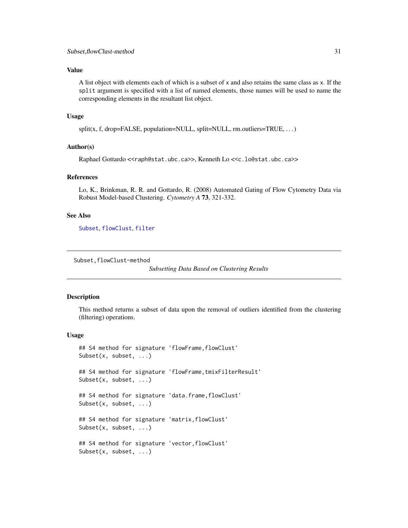#### <span id="page-30-0"></span>Value

A list object with elements each of which is a subset of x and also retains the same class as x. If the split argument is specified with a list of named elements, those names will be used to name the corresponding elements in the resultant list object.

#### Usage

split(x, f, drop=FALSE, population=NULL, split=NULL, rm.outliers=TRUE, ...)

#### Author(s)

Raphael Gottardo <<raph@stat.ubc.ca>>, Kenneth Lo <<c.lo@stat.ubc.ca>>

#### References

Lo, K., Brinkman, R. R. and Gottardo, R. (2008) Automated Gating of Flow Cytometry Data via Robust Model-based Clustering. *Cytometry A* 73, 321-332.

#### See Also

[Subset](#page-30-1), [flowClust](#page-8-1), [filter](#page-32-1)

```
Subset,flowClust-method
```

```
Subsetting Data Based on Clustering Results
```
#### <span id="page-30-1"></span>Description

This method returns a subset of data upon the removal of outliers identified from the clustering (filtering) operations.

#### Usage

```
## S4 method for signature 'flowFrame,flowClust'
Subset(x, subset, ...)
## S4 method for signature 'flowFrame, tmixFilterResult'
Subset(x, subset, ...)
## S4 method for signature 'data.frame,flowClust'
Subset(x, subset, ...)
## S4 method for signature 'matrix, flowClust'
Subset(x, subset, ...)
## S4 method for signature 'vector,flowClust'
Subset(x, subset, ...)
```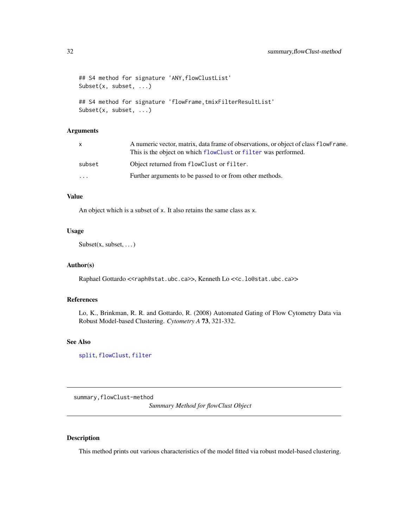```
## S4 method for signature 'ANY,flowClustList'
Subset(x, subset, ...)
## S4 method for signature 'flowFrame,tmixFilterResultList'
Subset(x, subset, ...)
```

|                         | A numeric vector, matrix, data frame of observations, or object of class flowFrame.<br>This is the object on which flowClust or filter was performed. |
|-------------------------|-------------------------------------------------------------------------------------------------------------------------------------------------------|
| subset                  | Object returned from flowClust or filter.                                                                                                             |
| $\cdot$ $\cdot$ $\cdot$ | Further arguments to be passed to or from other methods.                                                                                              |

#### Value

An object which is a subset of x. It also retains the same class as x.

#### Usage

 $Subset(x, subset, ...)$ 

#### Author(s)

Raphael Gottardo <<raph@stat.ubc.ca>>, Kenneth Lo <<c.lo@stat.ubc.ca>>

#### References

Lo, K., Brinkman, R. R. and Gottardo, R. (2008) Automated Gating of Flow Cytometry Data via Robust Model-based Clustering. *Cytometry A* 73, 321-332.

#### See Also

[split](#page-27-1), [flowClust](#page-8-1), [filter](#page-32-1)

summary, flowClust-method

*Summary Method for flowClust Object*

#### <span id="page-31-1"></span>Description

This method prints out various characteristics of the model fitted via robust model-based clustering.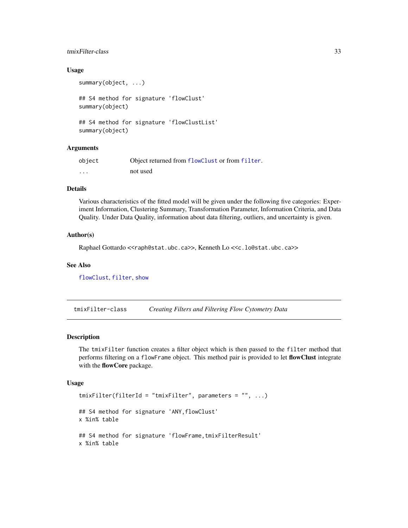#### <span id="page-32-0"></span>tmixFilter-class 33

#### Usage

```
summary(object, ...)
## S4 method for signature 'flowClust'
summary(object)
## S4 method for signature 'flowClustList'
summary(object)
```
#### **Arguments**

| object   | Object returned from flowClust or from filter. |
|----------|------------------------------------------------|
| $\cdots$ | not used                                       |

#### Details

Various characteristics of the fitted model will be given under the following five categories: Experiment Information, Clustering Summary, Transformation Parameter, Information Criteria, and Data Quality. Under Data Quality, information about data filtering, outliers, and uncertainty is given.

#### Author(s)

Raphael Gottardo <<raph@stat.ubc.ca>>, Kenneth Lo <<c.lo@stat.ubc.ca>>

#### See Also

[flowClust](#page-8-1), [filter](#page-32-1), [show](#page-0-0)

<span id="page-32-2"></span>tmixFilter-class *Creating Filters and Filtering Flow Cytometry Data*

#### <span id="page-32-1"></span>Description

The tmixFilter function creates a filter object which is then passed to the filter method that performs filtering on a flowFrame object. This method pair is provided to let flowClust integrate with the flowCore package.

#### Usage

```
tmixFilter(filterId = "tmixFilter", parameters = "", ...)
## S4 method for signature 'ANY,flowClust'
x %in% table
## S4 method for signature 'flowFrame, tmixFilterResult'
x %in% table
```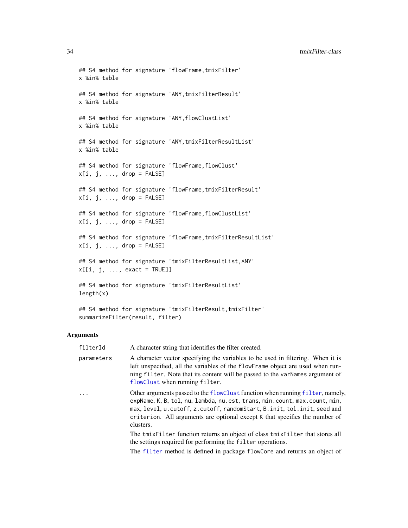```
## S4 method for signature 'flowFrame,tmixFilter'
x %in% table
## S4 method for signature 'ANY,tmixFilterResult'
x %in% table
## S4 method for signature 'ANY,flowClustList'
x %in% table
## S4 method for signature 'ANY,tmixFilterResultList'
x %in% table
## S4 method for signature 'flowFrame,flowClust'
x[i, j, \ldots, drop = FALSE]## S4 method for signature 'flowFrame,tmixFilterResult'
x[i, j, ..., drop = FALSE]## S4 method for signature 'flowFrame,flowClustList'
x[i, j, ..., drop = FALSE]## S4 method for signature 'flowFrame, tmixFilterResultList'
x[i, j, ..., drop = FALSE]## S4 method for signature 'tmixFilterResultList,ANY'
x[[i, j, ..., exact = TRUE]]## S4 method for signature 'tmixFilterResultList'
length(x)
```

```
## S4 method for signature 'tmixFilterResult, tmixFilter'
summarizeFilter(result, filter)
```
filterId A character string that identifies the filter created.

| parameters | A character vector specifying the variables to be used in filtering. When it is<br>left unspecified, all the variables of the flowFrame object are used when run-<br>ning filter. Note that its content will be passed to the varNames argument of<br>flowClust when running filter.                                                   |
|------------|----------------------------------------------------------------------------------------------------------------------------------------------------------------------------------------------------------------------------------------------------------------------------------------------------------------------------------------|
| $\cdots$   | Other arguments passed to the flowClust function when running filter, namely,<br>expName, K, B, tol, nu, lambda, nu.est, trans, min.count, max.count, min,<br>max, level, u. cutoff, z. cutoff, random Start, B. init, tol. init, seed and<br>criterion. All arguments are optional except K that specifies the number of<br>clusters. |
|            | The tmixfilter function returns an object of class tmixfilter that stores all<br>the settings required for performing the filter operations.                                                                                                                                                                                           |

The [filter](#page-0-0) method is defined in package flowCore and returns an object of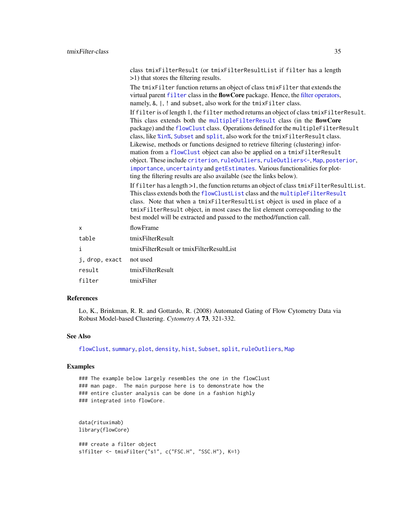<span id="page-34-0"></span>

|                | class tmixFilterResult (or tmixFilterResultList if filter has a length<br>>1) that stores the filtering results.<br>The tmixFilter function returns an object of class tmixFilter that extends the<br>virtual parent filter class in the flowCore package. Hence, the filter operators,                                                                                                                                                                                                                                                                                                                                                                                                                                                        |
|----------------|------------------------------------------------------------------------------------------------------------------------------------------------------------------------------------------------------------------------------------------------------------------------------------------------------------------------------------------------------------------------------------------------------------------------------------------------------------------------------------------------------------------------------------------------------------------------------------------------------------------------------------------------------------------------------------------------------------------------------------------------|
|                | namely, &,  , ! and subset, also work for the tmixFilter class.<br>If filter is of length 1, the filter method returns an object of class tmixFilterResult.<br>This class extends both the multipleFilterResult class (in the flowCore<br>package) and the flowClust class. Operations defined for the multipleFilterResult<br>class, like %in%, Subset and split, also work for the tmixFilterResult class.<br>Likewise, methods or functions designed to retrieve filtering (clustering) infor-<br>mation from a flowClust object can also be applied on a tmixFilterResult<br>object. These include criterion, ruleOutliers, ruleOutliers<-, Map, posterior,<br>importance, uncertainty and getEstimates. Various functionalities for plot- |
|                | ting the filtering results are also available (see the links below).<br>If filter has a length >1, the function returns an object of class tmixFilterResultList.<br>This class extends both the flowClustList class and the multipleFilterResult<br>class. Note that when a tmixFilterResultList object is used in place of a<br>tmixFilterResult object, in most cases the list element corresponding to the<br>best model will be extracted and passed to the method/function call.                                                                                                                                                                                                                                                          |
| X              | flowFrame                                                                                                                                                                                                                                                                                                                                                                                                                                                                                                                                                                                                                                                                                                                                      |
| table          | tmixFilterResult                                                                                                                                                                                                                                                                                                                                                                                                                                                                                                                                                                                                                                                                                                                               |
| i              | tmixFilterResult or tmixFilterResultList                                                                                                                                                                                                                                                                                                                                                                                                                                                                                                                                                                                                                                                                                                       |
| j, drop, exact | not used                                                                                                                                                                                                                                                                                                                                                                                                                                                                                                                                                                                                                                                                                                                                       |
| result         | tmixFilterResult                                                                                                                                                                                                                                                                                                                                                                                                                                                                                                                                                                                                                                                                                                                               |
| filter         | tmixFilter                                                                                                                                                                                                                                                                                                                                                                                                                                                                                                                                                                                                                                                                                                                                     |
|                |                                                                                                                                                                                                                                                                                                                                                                                                                                                                                                                                                                                                                                                                                                                                                |

#### References

Lo, K., Brinkman, R. R. and Gottardo, R. (2008) Automated Gating of Flow Cytometry Data via Robust Model-based Clustering. *Cytometry A* 73, 321-332.

#### See Also

[flowClust](#page-8-1), [summary](#page-31-1), [plot](#page-22-1), [density](#page-14-1), [hist](#page-16-1), [Subset](#page-30-1), [split](#page-27-1), [ruleOutliers](#page-25-1), [Map](#page-17-1)

#### Examples

### The example below largely resembles the one in the flowClust ### man page. The main purpose here is to demonstrate how the ### entire cluster analysis can be done in a fashion highly ### integrated into flowCore.

```
data(rituximab)
library(flowCore)
```

```
### create a filter object
s1filter <- tmixFilter("s1", c("FSC.H", "SSC.H"), K=1)
```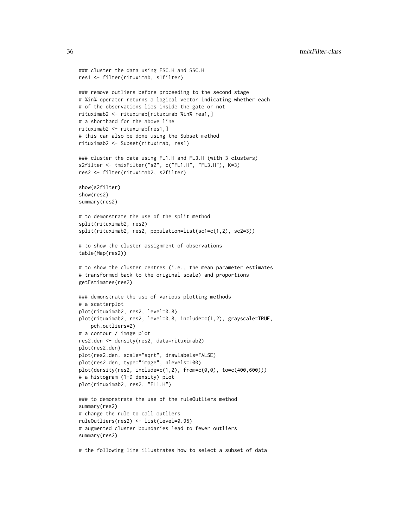36 tmixFilter-class

```
### cluster the data using FSC.H and SSC.H
res1 <- filter(rituximab, s1filter)
### remove outliers before proceeding to the second stage
# %in% operator returns a logical vector indicating whether each
# of the observations lies inside the gate or not
rituximab2 <- rituximab[rituximab %in% res1,]
# a shorthand for the above line
rituximab2 <- rituximab[res1,]
# this can also be done using the Subset method
rituximab2 <- Subset(rituximab, res1)
### cluster the data using FL1.H and FL3.H (with 3 clusters)
s2filter <- tmixFilter("s2", c("FL1.H", "FL3.H"), K=3)
res2 <- filter(rituximab2, s2filter)
show(s2filter)
show(res2)
summary(res2)
# to demonstrate the use of the split method
split(rituximab2, res2)
split(rituximab2, res2, population=list(sc1=c(1,2), sc2=3))
# to show the cluster assignment of observations
table(Map(res2))
# to show the cluster centres (i.e., the mean parameter estimates
# transformed back to the original scale) and proportions
getEstimates(res2)
### demonstrate the use of various plotting methods
# a scatterplot
plot(rituximab2, res2, level=0.8)
plot(rituximab2, res2, level=0.8, include=c(1,2), grayscale=TRUE,
    pch.outliers=2)
# a contour / image plot
res2.den <- density(res2, data=rituximab2)
plot(res2.den)
plot(res2.den, scale="sqrt", drawlabels=FALSE)
plot(res2.den, type="image", nlevels=100)
plot(density(res2, include=c(1,2), from=c(0,0), to=c(400,600)))
# a histogram (1-D density) plot
plot(rituximab2, res2, "FL1.H")
### to demonstrate the use of the ruleOutliers method
summary(res2)
# change the rule to call outliers
ruleOutliers(res2) <- list(level=0.95)
# augmented cluster boundaries lead to fewer outliers
summary(res2)
```
# the following line illustrates how to select a subset of data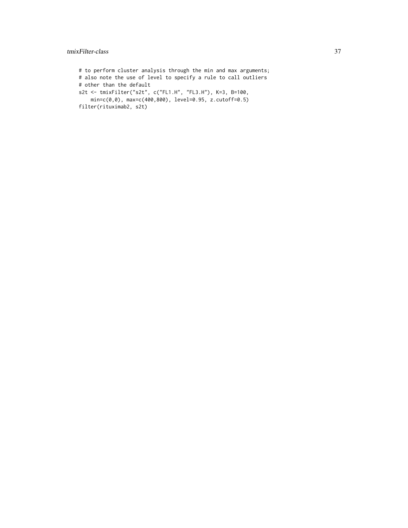#### tmixFilter-class 37

# to perform cluster analysis through the min and max arguments; # also note the use of level to specify a rule to call outliers # other than the default s2t <- tmixFilter("s2t", c("FL1.H", "FL3.H"), K=3, B=100, min=c(0,0), max=c(400,800), level=0.95, z.cutoff=0.5) filter(rituximab2, s2t)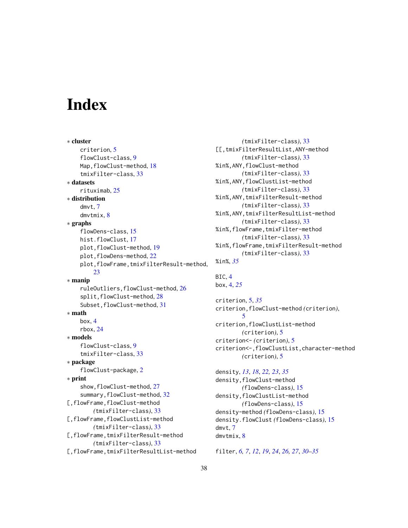# <span id="page-37-0"></span>**Index**

∗ cluster criterion, [5](#page-4-0) flowClust-class, [9](#page-8-0) Map, flowClust-method, [18](#page-17-0) tmixFilter-class, [33](#page-32-0) ∗ datasets rituximab, [25](#page-24-0) ∗ distribution dmvt, [7](#page-6-0) dmvtmix, [8](#page-7-0) ∗ graphs flowDens-class, [15](#page-14-0) hist.flowClust, [17](#page-16-0) plot,flowClust-method, [19](#page-18-0) plot, flowDens-method, [22](#page-21-0) plot,flowFrame,tmixFilterResult-method, [23](#page-22-0) ∗ manip ruleOutliers,flowClust-method, [26](#page-25-0) split,flowClust-method, [28](#page-27-0) Subset, flowClust-method, [31](#page-30-0) ∗ math box, [4](#page-3-0) rbox, [24](#page-23-0) ∗ models flowClust-class, [9](#page-8-0) tmixFilter-class, [33](#page-32-0) ∗ package flowClust-package, [2](#page-1-0) ∗ print show, flowClust-method, [27](#page-26-0) summary, flowClust-method, [32](#page-31-0) [,flowFrame,flowClust-method *(*tmixFilter-class*)*, [33](#page-32-0) [,flowFrame,flowClustList-method *(*tmixFilter-class*)*, [33](#page-32-0) [,flowFrame,tmixFilterResult-method *(*tmixFilter-class*)*, [33](#page-32-0) [,flowFrame,tmixFilterResultList-method

```
(tmixFilter-class), 33
[[,tmixFilterResultList,ANY-method
        (tmixFilter-class), 33
%in%,ANY,flowClust-method
        (tmixFilter-class), 33
%in%,ANY,flowClustList-method
        (tmixFilter-class), 33
%in%,ANY,tmixFilterResult-method
        (tmixFilter-class), 33
%in%,ANY,tmixFilterResultList-method
        (tmixFilter-class), 33
%in%,flowFrame,tmixFilter-method
        (tmixFilter-class), 33
%in%,flowFrame,tmixFilterResult-method
        (tmixFilter-class), 33
%in%, 35
```

```
BIC, 4
box, 4, 25
```
criterion, [5,](#page-4-0) *[35](#page-34-0)* criterion,flowClust-method *(*criterion*)*, [5](#page-4-0) criterion,flowClustList-method *(*criterion*)*, [5](#page-4-0) criterion<- *(*criterion*)*, [5](#page-4-0) criterion<-,flowClustList,character-method *(*criterion*)*, [5](#page-4-0)

density, *[13](#page-12-0)*, *[18](#page-17-0)*, *[22,](#page-21-0) [23](#page-22-0)*, *[35](#page-34-0)* density,flowClust-method *(*flowDens-class*)*, [15](#page-14-0) density,flowClustList-method *(*flowDens-class*)*, [15](#page-14-0) density-method *(*flowDens-class*)*, [15](#page-14-0) density.flowClust *(*flowDens-class*)*, [15](#page-14-0) dmvt, [7](#page-6-0) dmvtmix, [8](#page-7-0)

filter, *[6,](#page-5-0) [7](#page-6-0)*, *[12](#page-11-0)*, *[19](#page-18-0)*, *[24](#page-23-0)*, *[26,](#page-25-0) [27](#page-26-0)*, *[30](#page-29-0)[–35](#page-34-0)*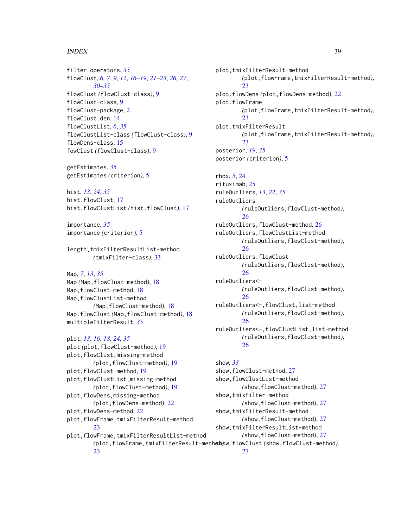#### INDEX  $39$

filter operators, *[35](#page-34-0)* flowClust, *[6,](#page-5-0) [7](#page-6-0)*, *[9](#page-8-0)*, *[12](#page-11-0)*, *[16–](#page-15-0)[19](#page-18-0)*, *[21–](#page-20-0)[23](#page-22-0)*, *[26,](#page-25-0) [27](#page-26-0)*, *[30](#page-29-0)[–35](#page-34-0)* flowClust *(*flowClust-class*)*, [9](#page-8-0) flowClust-class, [9](#page-8-0) flowClust-package, [2](#page-1-0) flowClust.den, [14](#page-13-0) flowClustList, *[6](#page-5-0)*, *[35](#page-34-0)* flowClustList-class *(*flowClust-class*)*, [9](#page-8-0) flowDens-class, [15](#page-14-0) fowClust *(*flowClust-class*)*, [9](#page-8-0)

getEstimates, *[35](#page-34-0)* getEstimates *(*criterion*)*, [5](#page-4-0)

hist, *[13](#page-12-0)*, *[24](#page-23-0)*, *[35](#page-34-0)* hist.flowClust, [17](#page-16-0) hist.flowClustList *(*hist.flowClust*)*, [17](#page-16-0)

importance, *[35](#page-34-0)* importance *(*criterion*)*, [5](#page-4-0)

length,tmixFilterResultList-method *(*tmixFilter-class*)*, [33](#page-32-0)

#### Map, *[7](#page-6-0)*, *[13](#page-12-0)*, *[35](#page-34-0)*

[23](#page-22-0)

Map *(*Map,flowClust-method*)*, [18](#page-17-0) Map, flowClust-method, [18](#page-17-0) Map,flowClustList-method *(*Map,flowClust-method*)*, [18](#page-17-0) Map.flowClust *(*Map,flowClust-method*)*, [18](#page-17-0) multipleFilterResult, *[35](#page-34-0)*

plot, *[13](#page-12-0)*, *[16](#page-15-0)*, *[18](#page-17-0)*, *[24](#page-23-0)*, *[35](#page-34-0)* plot *(*plot,flowClust-method*)*, [19](#page-18-0) plot,flowClust,missing-method *(*plot,flowClust-method*)*, [19](#page-18-0) plot, flowClust-method, [19](#page-18-0) plot,flowClustList,missing-method *(*plot,flowClust-method*)*, [19](#page-18-0) plot,flowDens,missing-method *(*plot,flowDens-method*)*, [22](#page-21-0) plot, flowDens-method, [22](#page-21-0) plot,flowFrame,tmixFilterResult-method, [23](#page-22-0) plot,flowFrame,tmixFilterResultList-method

plot,tmixFilterResult-method *(*plot,flowFrame,tmixFilterResult-method*)*, [23](#page-22-0) plot.flowDens *(*plot,flowDens-method*)*, [22](#page-21-0) plot.flowFrame *(*plot,flowFrame,tmixFilterResult-method*)*,  $23$ plot.tmixFilterResult *(*plot,flowFrame,tmixFilterResult-method*)*, [23](#page-22-0) posterior, *[19](#page-18-0)*, *[35](#page-34-0)* posterior *(*criterion*)*, [5](#page-4-0) rbox, *[5](#page-4-0)*, [24](#page-23-0) rituximab, [25](#page-24-0) ruleOutliers, *[13](#page-12-0)*, *[22](#page-21-0)*, *[35](#page-34-0)* ruleOutliers *(*ruleOutliers,flowClust-method*)*, [26](#page-25-0) ruleOutliers,flowClust-method, [26](#page-25-0) ruleOutliers,flowClustList-method *(*ruleOutliers,flowClust-method*)*, [26](#page-25-0) ruleOutliers.flowClust *(*ruleOutliers,flowClust-method*)*, [26](#page-25-0) ruleOutliers<- *(*ruleOutliers,flowClust-method*)*, [26](#page-25-0) ruleOutliers<-,flowClust,list-method *(*ruleOutliers,flowClust-method*)*, [26](#page-25-0) ruleOutliers<-,flowClustList,list-method *(*ruleOutliers,flowClust-method*)*, [26](#page-25-0) show, *[33](#page-32-0)*

*(*plot,flowFrame,tmixFilterResult-method*)*, show.flowClust *(*show,flowClust-method*)*, show, flowClust-method, [27](#page-26-0) show,flowClustList-method *(*show,flowClust-method*)*, [27](#page-26-0) show,tmixFilter-method *(*show,flowClust-method*)*, [27](#page-26-0) show,tmixFilterResult-method *(*show,flowClust-method*)*, [27](#page-26-0) show,tmixFilterResultList-method *(*show,flowClust-method*)*, [27](#page-26-0)

[27](#page-26-0)